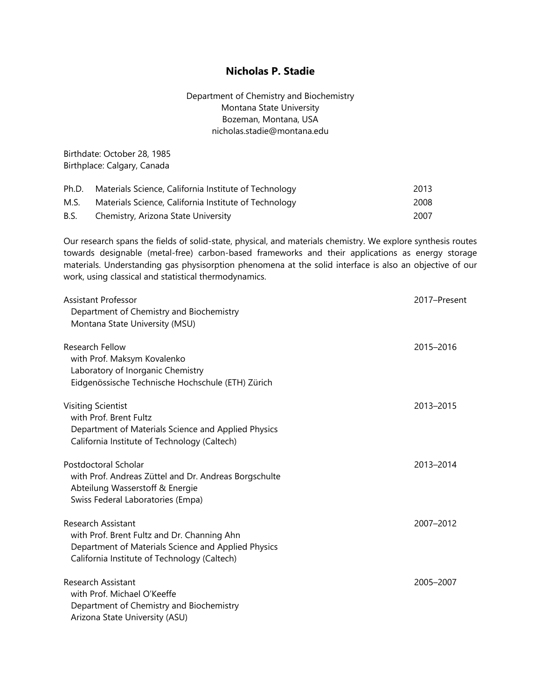# **Nicholas P. Stadie**

Department of Chemistry and Biochemistry Montana State University Bozeman, Montana, USA nicholas.stadie@montana.edu

Birthdate: October 28, 1985 Birthplace: Calgary, Canada

| Ph.D. | Materials Science, California Institute of Technology | 2013 |
|-------|-------------------------------------------------------|------|
| M.S.  | Materials Science, California Institute of Technology | 2008 |
| B.S.  | Chemistry, Arizona State University                   | 2007 |

Our research spans the fields of solid-state, physical, and materials chemistry. We explore synthesis routes towards designable (metal-free) carbon-based frameworks and their applications as energy storage materials. Understanding gas physisorption phenomena at the solid interface is also an objective of our work, using classical and statistical thermodynamics.

| Assistant Professor<br>Department of Chemistry and Biochemistry<br>Montana State University (MSU)                                                                               | 2017-Present |
|---------------------------------------------------------------------------------------------------------------------------------------------------------------------------------|--------------|
| Research Fellow<br>with Prof. Maksym Kovalenko<br>Laboratory of Inorganic Chemistry<br>Eidgenössische Technische Hochschule (ETH) Zürich                                        | 2015-2016    |
| <b>Visiting Scientist</b><br>with Prof. Brent Fultz<br>Department of Materials Science and Applied Physics<br>California Institute of Technology (Caltech)                      | 2013-2015    |
| Postdoctoral Scholar<br>with Prof. Andreas Züttel and Dr. Andreas Borgschulte<br>Abteilung Wasserstoff & Energie<br>Swiss Federal Laboratories (Empa)                           | 2013-2014    |
| <b>Research Assistant</b><br>with Prof. Brent Fultz and Dr. Channing Ahn<br>Department of Materials Science and Applied Physics<br>California Institute of Technology (Caltech) | 2007-2012    |
| Research Assistant<br>with Prof. Michael O'Keeffe<br>Department of Chemistry and Biochemistry<br>Arizona State University (ASU)                                                 | 2005-2007    |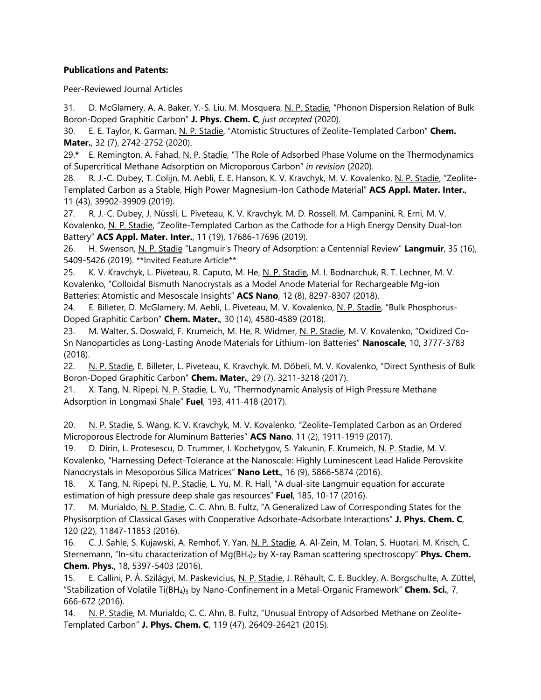## **Publications and Patents:**

Peer-Reviewed Journal Articles

31. D. McGlamery, A. A. Baker, Y.-S. Liu, M. Mosquera, N. P. Stadie, "Phonon Dispersion Relation of Bulk Boron-Doped Graphitic Carbon" **J. Phys. Chem. C***, just accepted* (2020).

30. E. E. Taylor, K. Garman, N. P. Stadie, "Atomistic Structures of Zeolite-Templated Carbon" **Chem. Mater.**, 32 (7), 2742-2752 (2020).

29.**\*** E. Remington, A. Fahad, N. P. Stadie, "The Role of Adsorbed Phase Volume on the Thermodynamics of Supercritical Methane Adsorption on Microporous Carbon" *in revision* (2020).

28. R. J.-C. Dubey, T. Colijn, M. Aebli, E. E. Hanson, K. V. Kravchyk, M. V. Kovalenko, N. P. Stadie, "Zeolite-Templated Carbon as a Stable, High Power Magnesium-Ion Cathode Material" **ACS Appl. Mater. Inter.**, 11 (43), 39902-39909 (2019).

27. R. J.-C. Dubey, J. Nüssli, L. Piveteau, K. V. Kravchyk, M. D. Rossell, M. Campanini, R. Erni, M. V. Kovalenko, N. P. Stadie, "Zeolite-Templated Carbon as the Cathode for a High Energy Density Dual-Ion Battery" **ACS Appl. Mater. Inter.**, 11 (19), 17686-17696 (2019).

26. H. Swenson, N. P. Stadie "Langmuir's Theory of Adsorption: a Centennial Review" **Langmuir**, 35 (16), 5409-5426 (2019). \*\*Invited Feature Article\*\*

25. K. V. Kravchyk, L. Piveteau, R. Caputo, M. He, N. P. Stadie, M. I. Bodnarchuk, R. T. Lechner, M. V. Kovalenko, "Colloidal Bismuth Nanocrystals as a Model Anode Material for Rechargeable Mg-ion Batteries: Atomistic and Mesoscale Insights" **ACS Nano**, 12 (8), 8297-8307 (2018).

24. E. Billeter, D. McGlamery, M. Aebli, L. Piveteau, M. V. Kovalenko, N. P. Stadie, "Bulk Phosphorus-Doped Graphitic Carbon" **Chem. Mater.**, 30 (14), 4580-4589 (2018).

23. M. Walter, S. Doswald, F. Krumeich, M. He, R. Widmer, N. P. Stadie, M. V. Kovalenko, "Oxidized Co-Sn Nanoparticles as Long-Lasting Anode Materials for Lithium-Ion Batteries" **Nanoscale**, 10, 3777-3783 (2018).

22. N. P. Stadie, E. Billeter, L. Piveteau, K. Kravchyk, M. Döbeli, M. V. Kovalenko, "Direct Synthesis of Bulk Boron-Doped Graphitic Carbon" **Chem. Mater.**, 29 (7), 3211-3218 (2017).

21. X. Tang, N. Ripepi, N. P. Stadie, L. Yu, "Thermodynamic Analysis of High Pressure Methane Adsorption in Longmaxi Shale" **Fuel**, 193, 411-418 (2017).

20. N. P. Stadie, S. Wang, K. V. Kravchyk, M. V. Kovalenko, "Zeolite-Templated Carbon as an Ordered Microporous Electrode for Aluminum Batteries" **ACS Nano**, 11 (2), 1911-1919 (2017).

19. D. Dirin, L. Protesescu, D. Trummer, I. Kochetygov, S. Yakunin, F. Krumeich, N. P. Stadie, M. V. Kovalenko, "Harnessing Defect-Tolerance at the Nanoscale: Highly Luminescent Lead Halide Perovskite Nanocrystals in Mesoporous Silica Matrices" **Nano Lett.**, 16 (9), 5866-5874 (2016).

18. X. Tang, N. Ripepi, N. P. Stadie, L. Yu, M. R. Hall, "A dual-site Langmuir equation for accurate estimation of high pressure deep shale gas resources" **Fuel**, 185, 10-17 (2016).

17. M. Murialdo, N. P. Stadie, C. C. Ahn, B. Fultz, "A Generalized Law of Corresponding States for the Physisorption of Classical Gases with Cooperative Adsorbate-Adsorbate Interactions" **J. Phys. Chem. C**, 120 (22), 11847-11853 (2016).

16. C. J. Sahle, S. Kujawski, A. Remhof, Y. Yan, N. P. Stadie, A. Al-Zein, M. Tolan, S. Huotari, M. Krisch, C. Sternemann, "In-situ characterization of Mg(BH<sub>4</sub>)<sub>2</sub> by X-ray Raman scattering spectroscopy" **Phys. Chem. Chem. Phys.**, 18, 5397-5403 (2016).

15. E. Callini, P. Á. Szilágyi, M. Paskevicius, N. P. Stadie, J. Réhault, C. E. Buckley, A. Borgschulte, A. Züttel, "Stabilization of Volatile Ti(BH<sub>4</sub>)<sub>3</sub> by Nano-Confinement in a Metal-Organic Framework" **Chem. Sci.**, 7, 666-672 (2016).

14. N. P. Stadie, M. Murialdo, C. C. Ahn, B. Fultz, "Unusual Entropy of Adsorbed Methane on Zeolite-Templated Carbon" **J. Phys. Chem. C**, 119 (47), 26409-26421 (2015).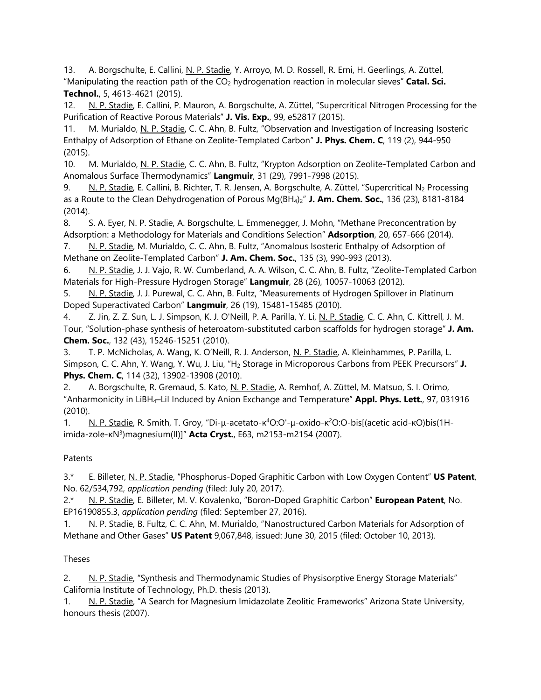13. A. Borgschulte, E. Callini, N. P. Stadie, Y. Arroyo, M. D. Rossell, R. Erni, H. Geerlings, A. Züttel, "Manipulating the reaction path of the CO2 hydrogenation reaction in molecular sieves" **Catal. Sci. Technol.**, 5, 4613-4621 (2015).

12. N. P. Stadie, E. Callini, P. Mauron, A. Borgschulte, A. Züttel, "Supercritical Nitrogen Processing for the Purification of Reactive Porous Materials" **J. Vis. Exp.**, 99, e52817 (2015).

11. M. Murialdo, N. P. Stadie, C. C. Ahn, B. Fultz, "Observation and Investigation of Increasing Isosteric Enthalpy of Adsorption of Ethane on Zeolite-Templated Carbon" **J. Phys. Chem. C**, 119 (2), 944-950 (2015).

10. M. Murialdo, N. P. Stadie, C. C. Ahn, B. Fultz, "Krypton Adsorption on Zeolite-Templated Carbon and Anomalous Surface Thermodynamics" **Langmuir**, 31 (29), 7991-7998 (2015).

9. N. P. Stadie, E. Callini, B. Richter, T. R. Jensen, A. Borgschulte, A. Züttel, "Supercritical N<sub>2</sub> Processing as a Route to the Clean Dehydrogenation of Porous Mg(BH4)2" **J. Am. Chem. Soc.**, 136 (23), 8181-8184 (2014).

8. S. A. Eyer, N. P. Stadie, A. Borgschulte, L. Emmenegger, J. Mohn, "Methane Preconcentration by Adsorption: a Methodology for Materials and Conditions Selection" **Adsorption**, 20, 657-666 (2014). 7. N. P. Stadie, M. Murialdo, C. C. Ahn, B. Fultz, "Anomalous Isosteric Enthalpy of Adsorption of

Methane on Zeolite-Templated Carbon" **J. Am. Chem. Soc.**, 135 (3), 990-993 (2013).

6. N. P. Stadie, J. J. Vajo, R. W. Cumberland, A. A. Wilson, C. C. Ahn, B. Fultz, "Zeolite-Templated Carbon Materials for High-Pressure Hydrogen Storage" **Langmuir**, 28 (26), 10057-10063 (2012).

5. N. P. Stadie, J. J. Purewal, C. C. Ahn, B. Fultz, "Measurements of Hydrogen Spillover in Platinum Doped Superactivated Carbon" **Langmuir**, 26 (19), 15481-15485 (2010).

4. Z. Jin, Z. Z. Sun, L. J. Simpson, K. J. O'Neill, P. A. Parilla, Y. Li, N. P. Stadie, C. C. Ahn, C. Kittrell, J. M. Tour, "Solution-phase synthesis of heteroatom-substituted carbon scaffolds for hydrogen storage" **J. Am. Chem. Soc.**, 132 (43), 15246-15251 (2010).

3. T. P. McNicholas, A. Wang, K. O'Neill, R. J. Anderson, N. P. Stadie, A. Kleinhammes, P. Parilla, L. Simpson, C. C. Ahn, Y. Wang, Y. Wu, J. Liu, "H2 Storage in Microporous Carbons from PEEK Precursors" **J. Phys. Chem. C**, 114 (32), 13902-13908 (2010).

2. A. Borgschulte, R. Gremaud, S. Kato, N. P. Stadie, A. Remhof, A. Züttel, M. Matsuo, S. I. Orimo, "Anharmonicity in LiBH4–LiI Induced by Anion Exchange and Temperature" **Appl. Phys. Lett.**, 97, 031916 (2010).

1. N. P. Stadie, R. Smith, T. Groy, "Di-μ-acetato-κ<sup>4</sup>O:O'-μ-oxido-κ<sup>2</sup>O:O-bis[(acetic acid-κO)bis(1Himida-zole-κN<sup>3</sup>)magnesium(II)]" **Acta Cryst.**, E63, m2153-m2154 (2007).

## Patents

3.\* E. Billeter, N. P. Stadie, "Phosphorus-Doped Graphitic Carbon with Low Oxygen Content" **US Patent**, No. 62/534,792, *application pending* (filed: July 20, 2017).

2.\* N. P. Stadie, E. Billeter, M. V. Kovalenko, "Boron-Doped Graphitic Carbon" **European Patent**, No. EP16190855.3, *application pending* (filed: September 27, 2016).

1. N. P. Stadie, B. Fultz, C. C. Ahn, M. Murialdo, "Nanostructured Carbon Materials for Adsorption of Methane and Other Gases" **US Patent** 9,067,848, issued: June 30, 2015 (filed: October 10, 2013).

## Theses

2. N. P. Stadie, "Synthesis and Thermodynamic Studies of Physisorptive Energy Storage Materials" California Institute of Technology, Ph.D. thesis (2013).

1. N. P. Stadie, "A Search for Magnesium Imidazolate Zeolitic Frameworks" Arizona State University, honours thesis (2007).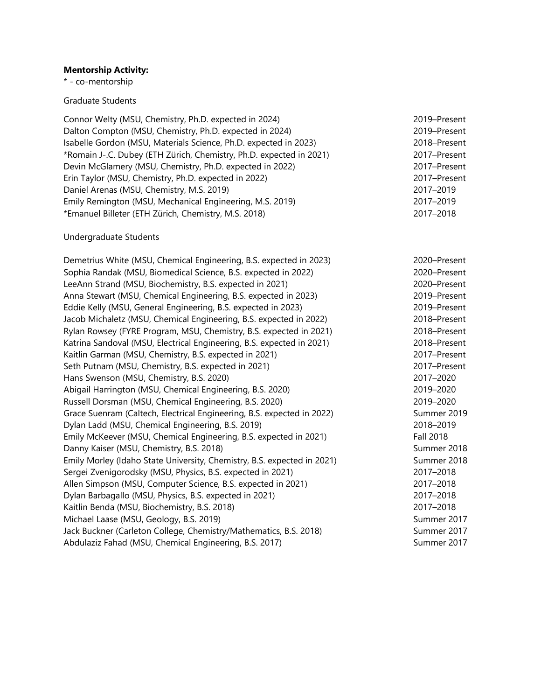### **Mentorship Activity:**

\* - co-mentorship

#### Graduate Students

| Connor Welty (MSU, Chemistry, Ph.D. expected in 2024)               | 2019-Present |
|---------------------------------------------------------------------|--------------|
| Dalton Compton (MSU, Chemistry, Ph.D. expected in 2024)             | 2019-Present |
| Isabelle Gordon (MSU, Materials Science, Ph.D. expected in 2023)    | 2018-Present |
| *Romain J-.C. Dubey (ETH Zürich, Chemistry, Ph.D. expected in 2021) | 2017-Present |
| Devin McGlamery (MSU, Chemistry, Ph.D. expected in 2022)            | 2017-Present |
| Erin Taylor (MSU, Chemistry, Ph.D. expected in 2022)                | 2017-Present |
| Daniel Arenas (MSU, Chemistry, M.S. 2019)                           | 2017-2019    |
| Emily Remington (MSU, Mechanical Engineering, M.S. 2019)            | 2017-2019    |
| *Emanuel Billeter (ETH Zürich, Chemistry, M.S. 2018)                | 2017-2018    |
|                                                                     |              |

#### Undergraduate Students

Demetrius White (MSU, Chemical Engineering, B.S. expected in 2023) 2020–Present Sophia Randak (MSU, Biomedical Science, B.S. expected in 2022) 2020–Present LeeAnn Strand (MSU, Biochemistry, B.S. expected in 2021) 2020–Present Anna Stewart (MSU, Chemical Engineering, B.S. expected in 2023) 2019–Present Eddie Kelly (MSU, General Engineering, B.S. expected in 2023) 2019–Present Jacob Michaletz (MSU, Chemical Engineering, B.S. expected in 2022) 2018–Present Rylan Rowsey (FYRE Program, MSU, Chemistry, B.S. expected in 2021) 2018–Present Katrina Sandoval (MSU, Electrical Engineering, B.S. expected in 2021) 2018–Present Kaitlin Garman (MSU, Chemistry, B.S. expected in 2021) 2017–Present Seth Putnam (MSU, Chemistry, B.S. expected in 2021) 2017–Present Hans Swenson (MSU, Chemistry, B.S. 2020) 2017–2020 Abigail Harrington (MSU, Chemical Engineering, B.S. 2020) 2019–2020 Russell Dorsman (MSU, Chemical Engineering, B.S. 2020) 2019–2020 Grace Suenram (Caltech, Electrical Engineering, B.S. expected in 2022) Summer 2019 Dylan Ladd (MSU, Chemical Engineering, B.S. 2019) 2018–2019 Emily McKeever (MSU, Chemical Engineering, B.S. expected in 2021) Fall 2018 Danny Kaiser (MSU, Chemistry, B.S. 2018) Summer 2018 Emily Morley (Idaho State University, Chemistry, B.S. expected in 2021) Summer 2018 Sergei Zvenigorodsky (MSU, Physics, B.S. expected in 2021) 2017–2018 Allen Simpson (MSU, Computer Science, B.S. expected in 2021) 2017–2018 Dylan Barbagallo (MSU, Physics, B.S. expected in 2021) 2017–2018 Kaitlin Benda (MSU, Biochemistry, B.S. 2018) 2017–2018 Michael Laase (MSU, Geology, B.S. 2019) Summer 2017 Jack Buckner (Carleton College, Chemistry/Mathematics, B.S. 2018) Summer 2017 Abdulaziz Fahad (MSU, Chemical Engineering, B.S. 2017) Summer 2017